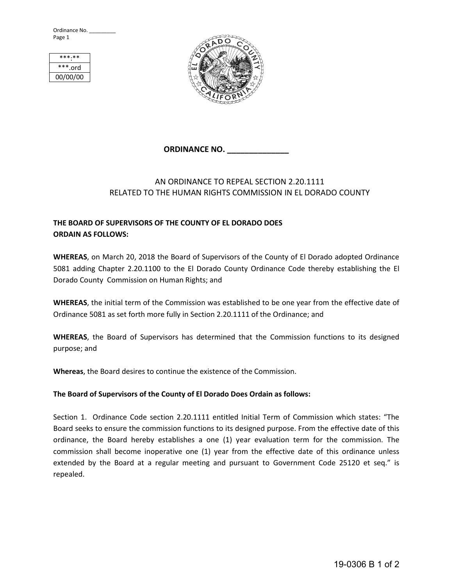Ordinance No. \_ Page 1



## **ORDINANCE NO. \_\_\_\_\_\_\_\_\_\_\_\_\_\_**

## AN ORDINANCE TO REPEAL SECTION 2.20.1111 RELATED TO THE HUMAN RIGHTS COMMISSION IN EL DORADO COUNTY

## **THE BOARD OF SUPERVISORS OF THE COUNTY OF EL DORADO DOES ORDAIN AS FOLLOWS:**

**WHEREAS**, on March 20, 2018 the Board of Supervisors of the County of El Dorado adopted Ordinance 5081 adding Chapter 2.20.1100 to the El Dorado County Ordinance Code thereby establishing the El Dorado County Commission on Human Rights; and

**WHEREAS**, the initial term of the Commission was established to be one year from the effective date of Ordinance 5081 as set forth more fully in Section 2.20.1111 of the Ordinance; and

**WHEREAS**, the Board of Supervisors has determined that the Commission functions to its designed purpose; and

**Whereas**, the Board desires to continue the existence of the Commission.

## **The Board of Supervisors of the County of El Dorado Does Ordain as follows:**

Section 1. Ordinance Code section 2.20.1111 entitled Initial Term of Commission which states: "The Board seeks to ensure the commission functions to its designed purpose. From the effective date of this ordinance, the Board hereby establishes a one (1) year evaluation term for the commission. The commission shall become inoperative one (1) year from the effective date of this ordinance unless extended by the Board at a regular meeting and pursuant to Government Code 25120 et seq." is repealed.